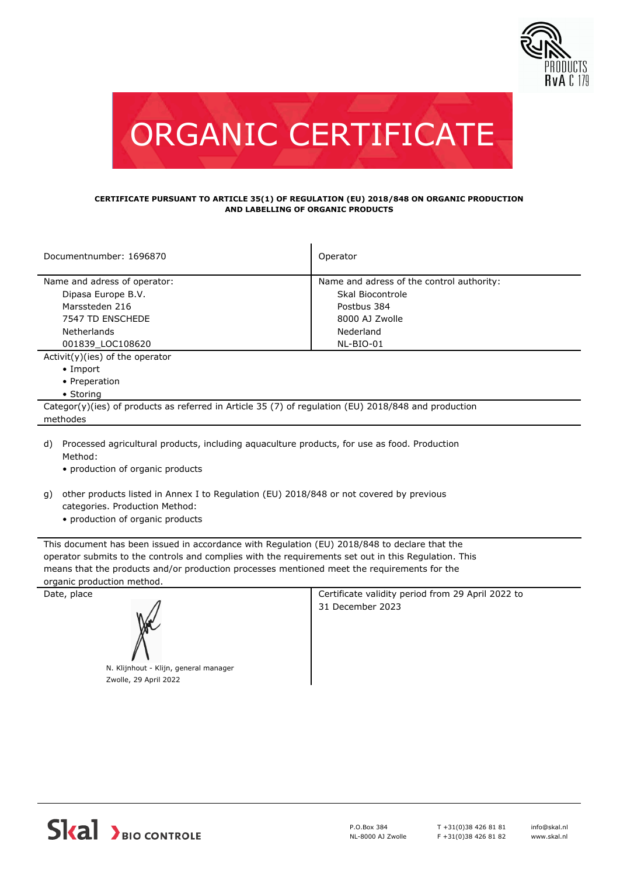



## **CERTIFICATE PURSUANT TO ARTICLE 35(1) OF REGULATION (EU) 2018/848 ON ORGANIC PRODUCTION AND LABELLING OF ORGANIC PRODUCTS**

| Documentnumber: 1696870                                                                              | Operator                                  |  |  |  |
|------------------------------------------------------------------------------------------------------|-------------------------------------------|--|--|--|
| Name and adress of operator:                                                                         | Name and adress of the control authority: |  |  |  |
| Dipasa Europe B.V.                                                                                   | Skal Biocontrole                          |  |  |  |
|                                                                                                      |                                           |  |  |  |
| Marssteden 216                                                                                       | Postbus 384                               |  |  |  |
| 7547 TD ENSCHEDE                                                                                     | 8000 AJ Zwolle                            |  |  |  |
| <b>Netherlands</b>                                                                                   | Nederland                                 |  |  |  |
| 001839 LOC108620                                                                                     | NL-BIO-01                                 |  |  |  |
| $Activity)(ies)$ of the operator                                                                     |                                           |  |  |  |
| $\bullet$ Import                                                                                     |                                           |  |  |  |
| • Preperation                                                                                        |                                           |  |  |  |
| • Storing                                                                                            |                                           |  |  |  |
| Categor(y)(ies) of products as referred in Article 35 (7) of regulation (EU) 2018/848 and production |                                           |  |  |  |
| methodes                                                                                             |                                           |  |  |  |
| A) Dreascoad agricultural products including agusculture products for use as food Dreduction         |                                           |  |  |  |

Processed agricultural products, including aquaculture products, for use as food. Production Method: d)

• production of organic products

- other products listed in Annex I to Regulation (EU) 2018/848 or not covered by previous g) categories. Production Method:
	- production of organic products

This document has been issued in accordance with Regulation (EU) 2018/848 to declare that the operator submits to the controls and complies with the requirements set out in this Regulation. This means that the products and/or production processes mentioned meet the requirements for the organic production method.



N. Klijnhout - Klijn, general manager Zwolle, 29 April 2022

Date, place Certificate validity period from 29 April 2022 to 31 December 2023